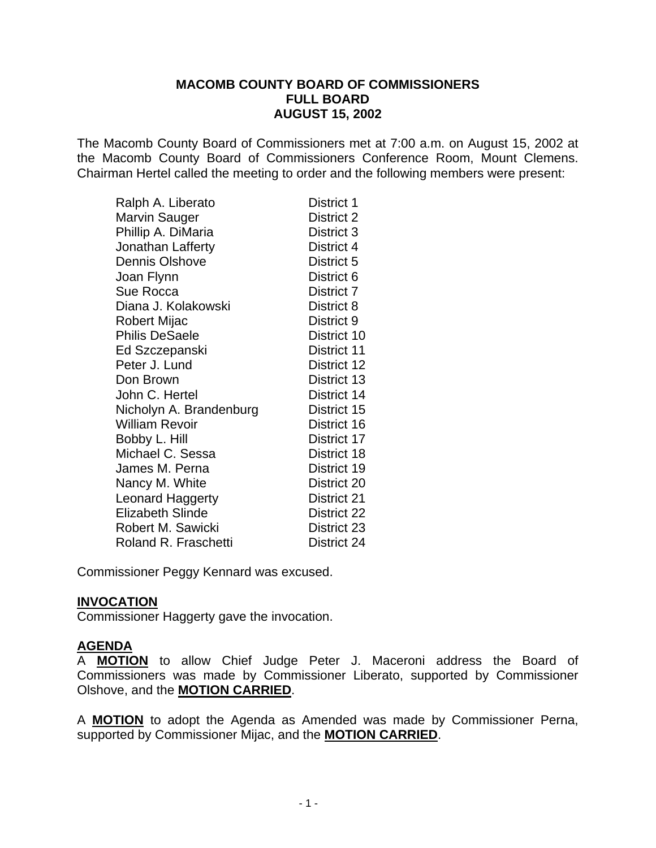#### **MACOMB COUNTY BOARD OF COMMISSIONERS FULL BOARD AUGUST 15, 2002**

The Macomb County Board of Commissioners met at 7:00 a.m. on August 15, 2002 at the Macomb County Board of Commissioners Conference Room, Mount Clemens. Chairman Hertel called the meeting to order and the following members were present:

| Ralph A. Liberato           | District 1  |
|-----------------------------|-------------|
| Marvin Sauger               | District 2  |
| Phillip A. DiMaria          | District 3  |
| Jonathan Lafferty           | District 4  |
| <b>Dennis Olshove</b>       | District 5  |
| Joan Flynn                  | District 6  |
| Sue Rocca                   | District 7  |
| Diana J. Kolakowski         | District 8  |
| Robert Mijac                | District 9  |
| <b>Philis DeSaele</b>       | District 10 |
| Ed Szczepanski              | District 11 |
| Peter J. Lund               | District 12 |
| Don Brown                   | District 13 |
| John C. Hertel              | District 14 |
| Nicholyn A. Brandenburg     | District 15 |
| <b>William Revoir</b>       | District 16 |
| Bobby L. Hill               | District 17 |
| Michael C. Sessa            | District 18 |
| James M. Perna              | District 19 |
| Nancy M. White              | District 20 |
| <b>Leonard Haggerty</b>     | District 21 |
| <b>Elizabeth Slinde</b>     | District 22 |
| Robert M. Sawicki           | District 23 |
| <b>Roland R. Fraschetti</b> | District 24 |

Commissioner Peggy Kennard was excused.

## **INVOCATION**

Commissioner Haggerty gave the invocation.

## **AGENDA**

A **MOTION** to allow Chief Judge Peter J. Maceroni address the Board of Commissioners was made by Commissioner Liberato, supported by Commissioner Olshove, and the **MOTION CARRIED**.

A **MOTION** to adopt the Agenda as Amended was made by Commissioner Perna, supported by Commissioner Mijac, and the **MOTION CARRIED**.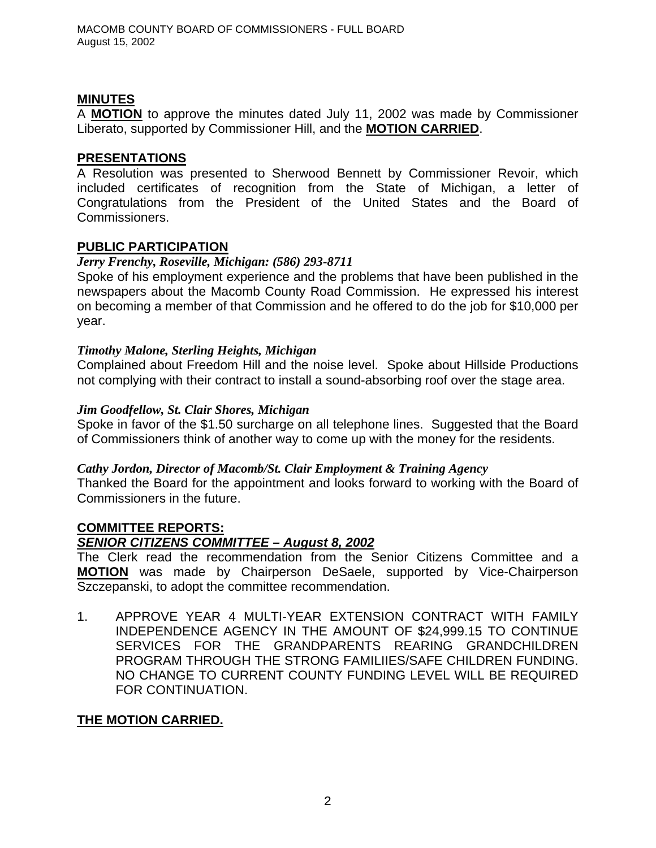## **MINUTES**

A **MOTION** to approve the minutes dated July 11, 2002 was made by Commissioner Liberato, supported by Commissioner Hill, and the **MOTION CARRIED**.

## **PRESENTATIONS**

A Resolution was presented to Sherwood Bennett by Commissioner Revoir, which included certificates of recognition from the State of Michigan, a letter of Congratulations from the President of the United States and the Board of Commissioners.

## **PUBLIC PARTICIPATION**

## *Jerry Frenchy, Roseville, Michigan: (586) 293-8711*

Spoke of his employment experience and the problems that have been published in the newspapers about the Macomb County Road Commission. He expressed his interest on becoming a member of that Commission and he offered to do the job for \$10,000 per year.

## *Timothy Malone, Sterling Heights, Michigan*

Complained about Freedom Hill and the noise level. Spoke about Hillside Productions not complying with their contract to install a sound-absorbing roof over the stage area.

## *Jim Goodfellow, St. Clair Shores, Michigan*

Spoke in favor of the \$1.50 surcharge on all telephone lines. Suggested that the Board of Commissioners think of another way to come up with the money for the residents.

## *Cathy Jordon, Director of Macomb/St. Clair Employment & Training Agency*

Thanked the Board for the appointment and looks forward to working with the Board of Commissioners in the future.

#### **COMMITTEE REPORTS:** *SENIOR CITIZENS COMMITTEE – August 8, 2002*

The Clerk read the recommendation from the Senior Citizens Committee and a **MOTION** was made by Chairperson DeSaele, supported by Vice-Chairperson Szczepanski, to adopt the committee recommendation.

1. APPROVE YEAR 4 MULTI-YEAR EXTENSION CONTRACT WITH FAMILY INDEPENDENCE AGENCY IN THE AMOUNT OF \$24,999.15 TO CONTINUE SERVICES FOR THE GRANDPARENTS REARING GRANDCHILDREN PROGRAM THROUGH THE STRONG FAMILIIES/SAFE CHILDREN FUNDING. NO CHANGE TO CURRENT COUNTY FUNDING LEVEL WILL BE REQUIRED FOR CONTINUATION.

## **THE MOTION CARRIED.**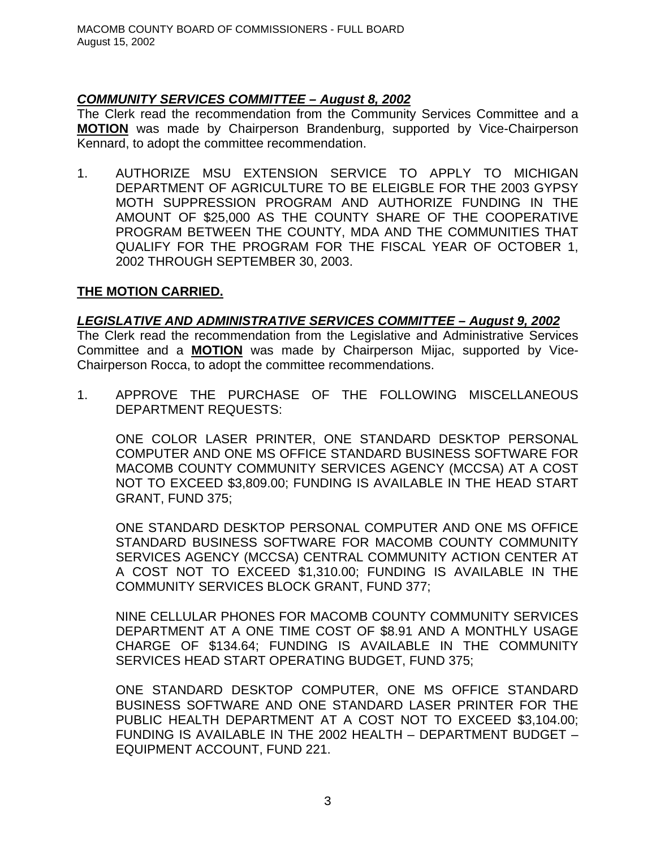## *COMMUNITY SERVICES COMMITTEE – August 8, 2002*

The Clerk read the recommendation from the Community Services Committee and a **MOTION** was made by Chairperson Brandenburg, supported by Vice-Chairperson Kennard, to adopt the committee recommendation.

1. AUTHORIZE MSU EXTENSION SERVICE TO APPLY TO MICHIGAN DEPARTMENT OF AGRICULTURE TO BE ELEIGBLE FOR THE 2003 GYPSY MOTH SUPPRESSION PROGRAM AND AUTHORIZE FUNDING IN THE AMOUNT OF \$25,000 AS THE COUNTY SHARE OF THE COOPERATIVE PROGRAM BETWEEN THE COUNTY, MDA AND THE COMMUNITIES THAT QUALIFY FOR THE PROGRAM FOR THE FISCAL YEAR OF OCTOBER 1, 2002 THROUGH SEPTEMBER 30, 2003.

## **THE MOTION CARRIED.**

## *LEGISLATIVE AND ADMINISTRATIVE SERVICES COMMITTEE – August 9, 2002*

The Clerk read the recommendation from the Legislative and Administrative Services Committee and a **MOTION** was made by Chairperson Mijac, supported by Vice-Chairperson Rocca, to adopt the committee recommendations.

1. APPROVE THE PURCHASE OF THE FOLLOWING MISCELLANEOUS DEPARTMENT REQUESTS:

ONE COLOR LASER PRINTER, ONE STANDARD DESKTOP PERSONAL COMPUTER AND ONE MS OFFICE STANDARD BUSINESS SOFTWARE FOR MACOMB COUNTY COMMUNITY SERVICES AGENCY (MCCSA) AT A COST NOT TO EXCEED \$3,809.00; FUNDING IS AVAILABLE IN THE HEAD START GRANT, FUND 375;

ONE STANDARD DESKTOP PERSONAL COMPUTER AND ONE MS OFFICE STANDARD BUSINESS SOFTWARE FOR MACOMB COUNTY COMMUNITY SERVICES AGENCY (MCCSA) CENTRAL COMMUNITY ACTION CENTER AT A COST NOT TO EXCEED \$1,310.00; FUNDING IS AVAILABLE IN THE COMMUNITY SERVICES BLOCK GRANT, FUND 377;

NINE CELLULAR PHONES FOR MACOMB COUNTY COMMUNITY SERVICES DEPARTMENT AT A ONE TIME COST OF \$8.91 AND A MONTHLY USAGE CHARGE OF \$134.64; FUNDING IS AVAILABLE IN THE COMMUNITY SERVICES HEAD START OPERATING BUDGET, FUND 375;

ONE STANDARD DESKTOP COMPUTER, ONE MS OFFICE STANDARD BUSINESS SOFTWARE AND ONE STANDARD LASER PRINTER FOR THE PUBLIC HEALTH DEPARTMENT AT A COST NOT TO EXCEED \$3,104.00; FUNDING IS AVAILABLE IN THE 2002 HEALTH – DEPARTMENT BUDGET – EQUIPMENT ACCOUNT, FUND 221.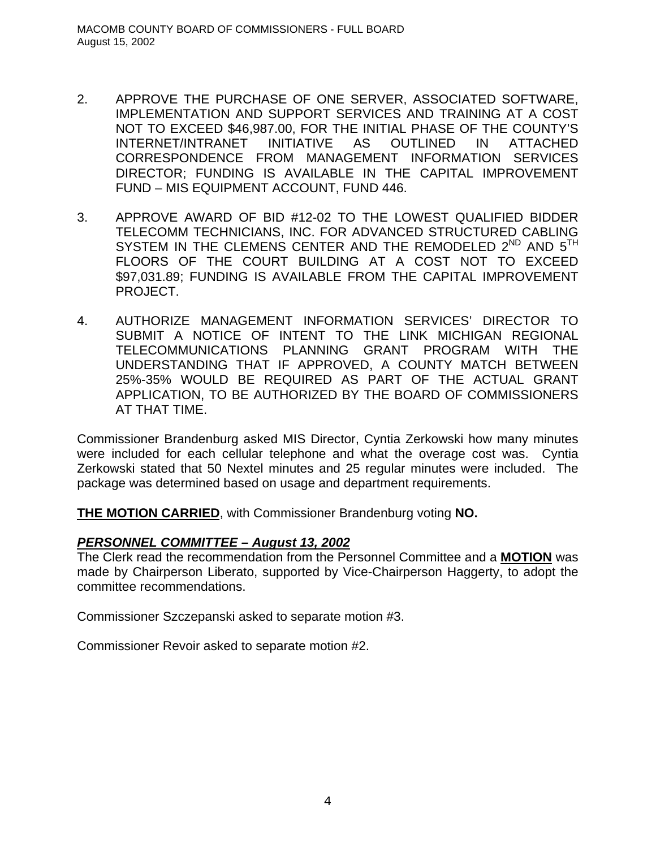- 2. APPROVE THE PURCHASE OF ONE SERVER, ASSOCIATED SOFTWARE, IMPLEMENTATION AND SUPPORT SERVICES AND TRAINING AT A COST NOT TO EXCEED \$46,987.00, FOR THE INITIAL PHASE OF THE COUNTY'S INTERNET/INTRANET INITIATIVE AS OUTLINED IN ATTACHED CORRESPONDENCE FROM MANAGEMENT INFORMATION SERVICES DIRECTOR; FUNDING IS AVAILABLE IN THE CAPITAL IMPROVEMENT FUND – MIS EQUIPMENT ACCOUNT, FUND 446.
- 3. APPROVE AWARD OF BID #12-02 TO THE LOWEST QUALIFIED BIDDER TELECOMM TECHNICIANS, INC. FOR ADVANCED STRUCTURED CABLING SYSTEM IN THE CLEMENS CENTER AND THE REMODELED  $2^{ND}$  and  $5^{TH}$ FLOORS OF THE COURT BUILDING AT A COST NOT TO EXCEED \$97,031.89; FUNDING IS AVAILABLE FROM THE CAPITAL IMPROVEMENT PROJECT.
- 4. AUTHORIZE MANAGEMENT INFORMATION SERVICES' DIRECTOR TO SUBMIT A NOTICE OF INTENT TO THE LINK MICHIGAN REGIONAL TELECOMMUNICATIONS PLANNING GRANT PROGRAM WITH THE UNDERSTANDING THAT IF APPROVED, A COUNTY MATCH BETWEEN 25%-35% WOULD BE REQUIRED AS PART OF THE ACTUAL GRANT APPLICATION, TO BE AUTHORIZED BY THE BOARD OF COMMISSIONERS AT THAT TIME.

Commissioner Brandenburg asked MIS Director, Cyntia Zerkowski how many minutes were included for each cellular telephone and what the overage cost was. Cyntia Zerkowski stated that 50 Nextel minutes and 25 regular minutes were included. The package was determined based on usage and department requirements.

**THE MOTION CARRIED**, with Commissioner Brandenburg voting **NO.**

## *PERSONNEL COMMITTEE – August 13, 2002*

The Clerk read the recommendation from the Personnel Committee and a **MOTION** was made by Chairperson Liberato, supported by Vice-Chairperson Haggerty, to adopt the committee recommendations.

Commissioner Szczepanski asked to separate motion #3.

Commissioner Revoir asked to separate motion #2.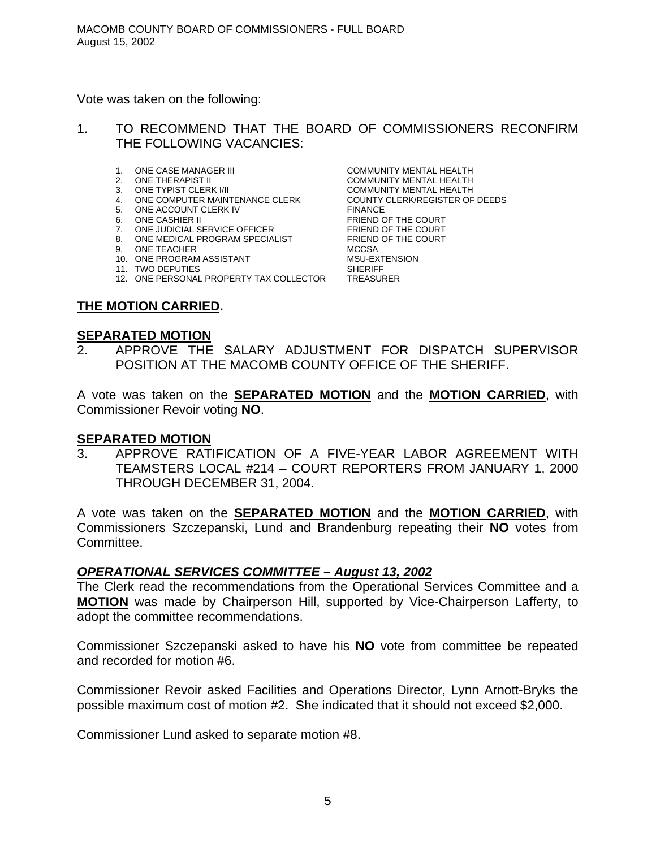Vote was taken on the following:

- 1. TO RECOMMEND THAT THE BOARD OF COMMISSIONERS RECONFIRM THE FOLLOWING VACANCIES:
	- 1. ONE CASE MANAGER III COMMUNITY MENTAL HEALTH
	-
	-
	- 4. ONE COMPUTER MAINTENANCE CLERK COUNTY CLERK/REGISTER OF DEEDS
	- 5. ONE ACCOUNT CLERK IV FINANCE
	-
	- 7. ONE JUDICIAL SERVICE OFFICER FRIEND OF THE COURT
	- 8. ONE MEDICAL PROGRAM SPECIALIST FRIEND OF THE COURT
	- 9. ONE TEACHER MCCSA
	- 10. ONE PROGRAM ASSISTANT MSU-EXTENSION
	-
	- 12. ONE PERSONAL PROPERTY TAX COLLECTOR

11. TWO DEPUTIES<br>12. ONE PERSONAL PROPERTY TAX COLLECTOR TREASURER

**THE MOTION CARRIED.**

#### **SEPARATED MOTION**

2. APPROVE THE SALARY ADJUSTMENT FOR DISPATCH SUPERVISOR POSITION AT THE MACOMB COUNTY OFFICE OF THE SHERIFF.

A vote was taken on the **SEPARATED MOTION** and the **MOTION CARRIED**, with Commissioner Revoir voting **NO**.

## **SEPARATED MOTION**

3. APPROVE RATIFICATION OF A FIVE-YEAR LABOR AGREEMENT WITH TEAMSTERS LOCAL #214 – COURT REPORTERS FROM JANUARY 1, 2000 THROUGH DECEMBER 31, 2004.

A vote was taken on the **SEPARATED MOTION** and the **MOTION CARRIED**, with Commissioners Szczepanski, Lund and Brandenburg repeating their **NO** votes from Committee.

#### *OPERATIONAL SERVICES COMMITTEE – August 13, 2002*

The Clerk read the recommendations from the Operational Services Committee and a **MOTION** was made by Chairperson Hill, supported by Vice-Chairperson Lafferty, to adopt the committee recommendations.

Commissioner Szczepanski asked to have his **NO** vote from committee be repeated and recorded for motion #6.

Commissioner Revoir asked Facilities and Operations Director, Lynn Arnott-Bryks the possible maximum cost of motion #2. She indicated that it should not exceed \$2,000.

Commissioner Lund asked to separate motion #8.

2. ONE THERAPIST II COMMUNITY MENTAL HEALTH 3. ONE TYPIST CLERK I/II COMMUNITY MENTAL HEALTH 6. ONE CASHIER II FRIEND OF THE COURT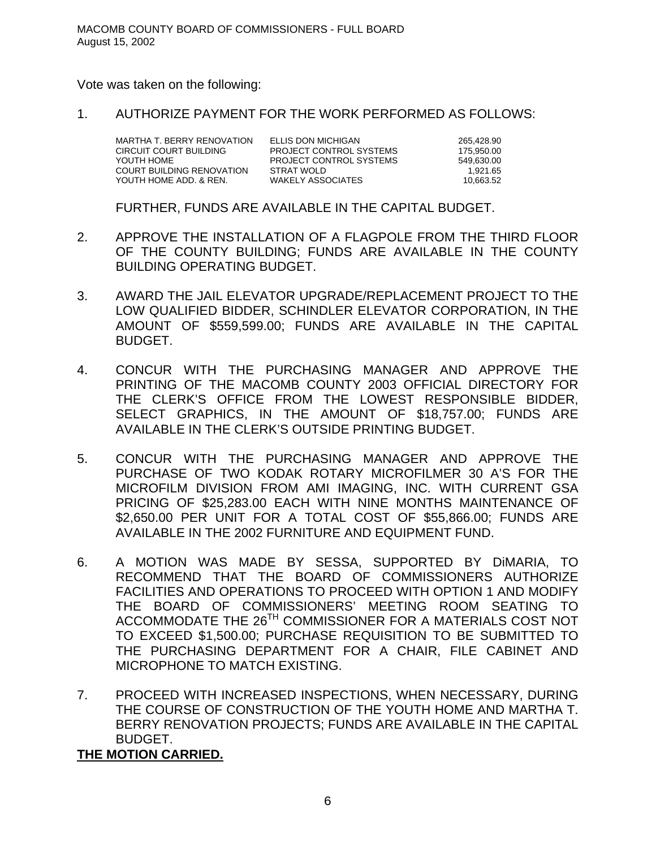#### Vote was taken on the following:

1. AUTHORIZE PAYMENT FOR THE WORK PERFORMED AS FOLLOWS:

MARTHA T. BERRY RENOVATION ELLIS DON MICHIGAN 265,428.90<br>CIRCUIT COURT BUILDING PROJECT CONTROL SYSTEMS 275,950.00 YOUTH HOME PROJECT CONTROL SYSTEMS 549,630.00 COURT BUILDING RENOVATION STRAT WOLD<br>YOUTH HOME ADD. & REN. WAKELY ASSOCIATES YOUTH HOME ADD. & REN. WAKELY ASSOCIATES 10.663.52

PROJECT CONTROL SYSTEMS 175,950.00

FURTHER, FUNDS ARE AVAILABLE IN THE CAPITAL BUDGET.

- 2. APPROVE THE INSTALLATION OF A FLAGPOLE FROM THE THIRD FLOOR OF THE COUNTY BUILDING; FUNDS ARE AVAILABLE IN THE COUNTY BUILDING OPERATING BUDGET.
- 3. AWARD THE JAIL ELEVATOR UPGRADE/REPLACEMENT PROJECT TO THE LOW QUALIFIED BIDDER, SCHINDLER ELEVATOR CORPORATION, IN THE AMOUNT OF \$559,599.00; FUNDS ARE AVAILABLE IN THE CAPITAL BUDGET.
- 4. CONCUR WITH THE PURCHASING MANAGER AND APPROVE THE PRINTING OF THE MACOMB COUNTY 2003 OFFICIAL DIRECTORY FOR THE CLERK'S OFFICE FROM THE LOWEST RESPONSIBLE BIDDER, SELECT GRAPHICS, IN THE AMOUNT OF \$18,757.00; FUNDS ARE AVAILABLE IN THE CLERK'S OUTSIDE PRINTING BUDGET.
- 5. CONCUR WITH THE PURCHASING MANAGER AND APPROVE THE PURCHASE OF TWO KODAK ROTARY MICROFILMER 30 A'S FOR THE MICROFILM DIVISION FROM AMI IMAGING, INC. WITH CURRENT GSA PRICING OF \$25,283.00 EACH WITH NINE MONTHS MAINTENANCE OF \$2,650.00 PER UNIT FOR A TOTAL COST OF \$55,866.00; FUNDS ARE AVAILABLE IN THE 2002 FURNITURE AND EQUIPMENT FUND.
- 6. A MOTION WAS MADE BY SESSA, SUPPORTED BY DiMARIA, TO RECOMMEND THAT THE BOARD OF COMMISSIONERS AUTHORIZE FACILITIES AND OPERATIONS TO PROCEED WITH OPTION 1 AND MODIFY THE BOARD OF COMMISSIONERS' MEETING ROOM SEATING TO ACCOMMODATE THE 26<sup>TH</sup> COMMISSIONER FOR A MATERIALS COST NOT TO EXCEED \$1,500.00; PURCHASE REQUISITION TO BE SUBMITTED TO THE PURCHASING DEPARTMENT FOR A CHAIR, FILE CABINET AND MICROPHONE TO MATCH EXISTING.
- 7. PROCEED WITH INCREASED INSPECTIONS, WHEN NECESSARY, DURING THE COURSE OF CONSTRUCTION OF THE YOUTH HOME AND MARTHA T. BERRY RENOVATION PROJECTS; FUNDS ARE AVAILABLE IN THE CAPITAL BUDGET.

**THE MOTION CARRIED.**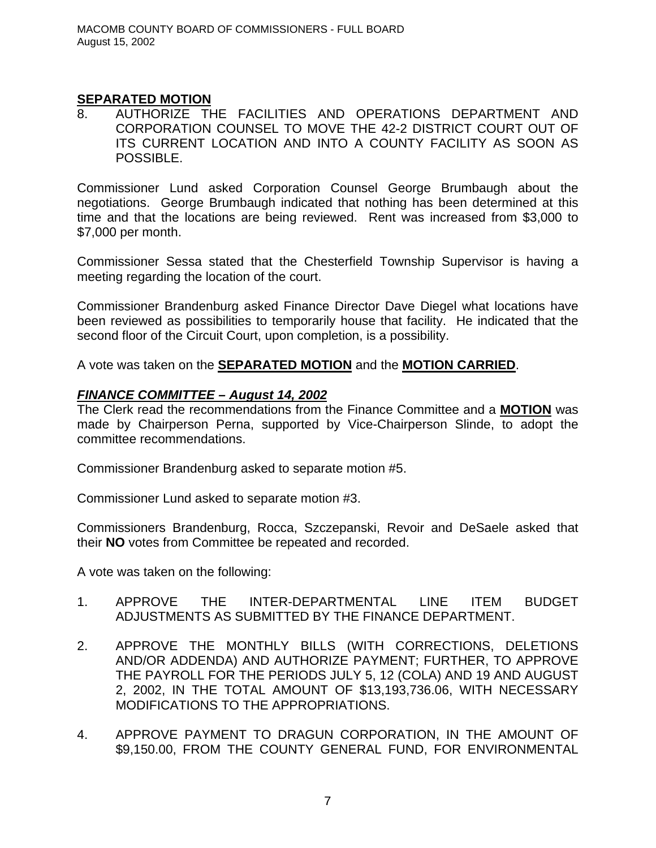## **SEPARATED MOTION**

8. AUTHORIZE THE FACILITIES AND OPERATIONS DEPARTMENT AND CORPORATION COUNSEL TO MOVE THE 42-2 DISTRICT COURT OUT OF ITS CURRENT LOCATION AND INTO A COUNTY FACILITY AS SOON AS POSSIBLE.

Commissioner Lund asked Corporation Counsel George Brumbaugh about the negotiations. George Brumbaugh indicated that nothing has been determined at this time and that the locations are being reviewed. Rent was increased from \$3,000 to \$7,000 per month.

Commissioner Sessa stated that the Chesterfield Township Supervisor is having a meeting regarding the location of the court.

Commissioner Brandenburg asked Finance Director Dave Diegel what locations have been reviewed as possibilities to temporarily house that facility. He indicated that the second floor of the Circuit Court, upon completion, is a possibility.

A vote was taken on the **SEPARATED MOTION** and the **MOTION CARRIED**.

## *FINANCE COMMITTEE – August 14, 2002*

The Clerk read the recommendations from the Finance Committee and a **MOTION** was made by Chairperson Perna, supported by Vice-Chairperson Slinde, to adopt the committee recommendations.

Commissioner Brandenburg asked to separate motion #5.

Commissioner Lund asked to separate motion #3.

Commissioners Brandenburg, Rocca, Szczepanski, Revoir and DeSaele asked that their **NO** votes from Committee be repeated and recorded.

A vote was taken on the following:

- 1. APPROVE THE INTER-DEPARTMENTAL LINE ITEM BUDGET ADJUSTMENTS AS SUBMITTED BY THE FINANCE DEPARTMENT.
- 2. APPROVE THE MONTHLY BILLS (WITH CORRECTIONS, DELETIONS AND/OR ADDENDA) AND AUTHORIZE PAYMENT; FURTHER, TO APPROVE THE PAYROLL FOR THE PERIODS JULY 5, 12 (COLA) AND 19 AND AUGUST 2, 2002, IN THE TOTAL AMOUNT OF \$13,193,736.06, WITH NECESSARY MODIFICATIONS TO THE APPROPRIATIONS.
- 4. APPROVE PAYMENT TO DRAGUN CORPORATION, IN THE AMOUNT OF \$9,150.00, FROM THE COUNTY GENERAL FUND, FOR ENVIRONMENTAL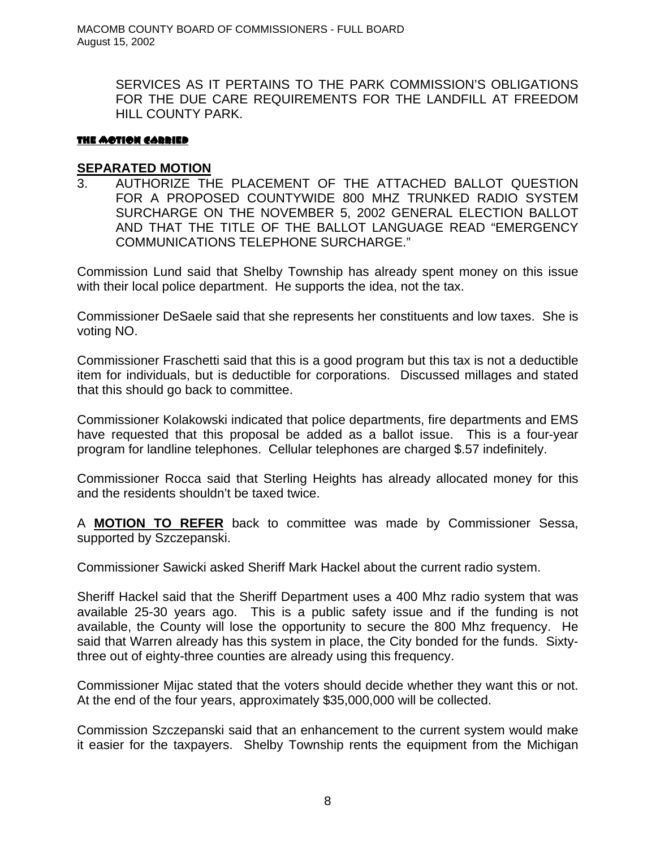SERVICES AS IT PERTAINS TO THE PARK COMMISSION'S OBLIGATIONS FOR THE DUE CARE REQUIREMENTS FOR THE LANDFILL AT FREEDOM HILL COUNTY PARK.

#### THE MOTION CARRIED

## **SEPARATED MOTION**

3. AUTHORIZE THE PLACEMENT OF THE ATTACHED BALLOT QUESTION FOR A PROPOSED COUNTYWIDE 800 MHZ TRUNKED RADIO SYSTEM SURCHARGE ON THE NOVEMBER 5, 2002 GENERAL ELECTION BALLOT AND THAT THE TITLE OF THE BALLOT LANGUAGE READ "EMERGENCY COMMUNICATIONS TELEPHONE SURCHARGE."

Commission Lund said that Shelby Township has already spent money on this issue with their local police department. He supports the idea, not the tax.

Commissioner DeSaele said that she represents her constituents and low taxes. She is voting NO.

Commissioner Fraschetti said that this is a good program but this tax is not a deductible item for individuals, but is deductible for corporations. Discussed millages and stated that this should go back to committee.

Commissioner Kolakowski indicated that police departments, fire departments and EMS have requested that this proposal be added as a ballot issue. This is a four-year program for landline telephones. Cellular telephones are charged \$.57 indefinitely.

Commissioner Rocca said that Sterling Heights has already allocated money for this and the residents shouldn't be taxed twice.

A **MOTION TO REFER** back to committee was made by Commissioner Sessa, supported by Szczepanski.

Commissioner Sawicki asked Sheriff Mark Hackel about the current radio system.

Sheriff Hackel said that the Sheriff Department uses a 400 Mhz radio system that was available 25-30 years ago. This is a public safety issue and if the funding is not available, the County will lose the opportunity to secure the 800 Mhz frequency. He said that Warren already has this system in place, the City bonded for the funds. Sixtythree out of eighty-three counties are already using this frequency.

Commissioner Mijac stated that the voters should decide whether they want this or not. At the end of the four years, approximately \$35,000,000 will be collected.

Commission Szczepanski said that an enhancement to the current system would make it easier for the taxpayers. Shelby Township rents the equipment from the Michigan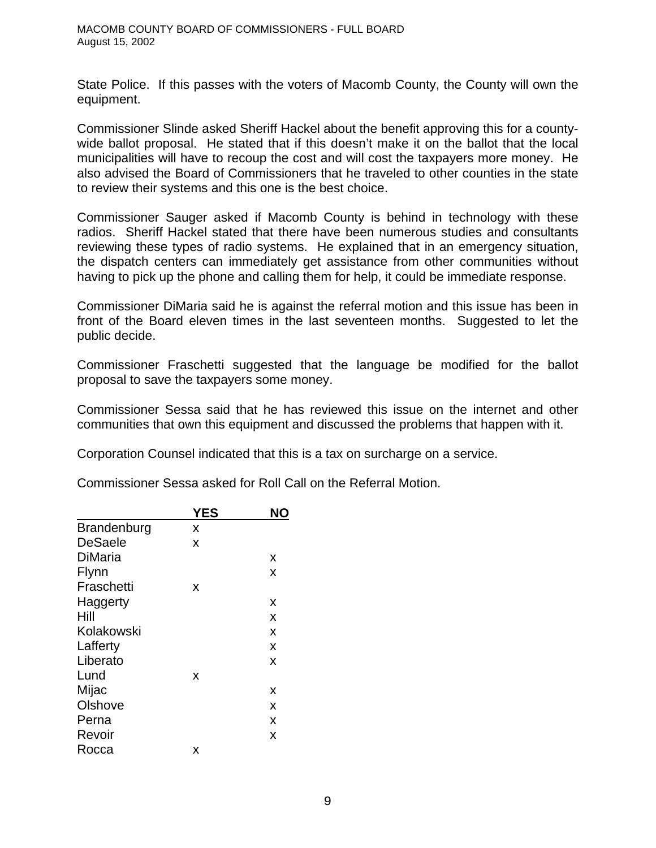State Police. If this passes with the voters of Macomb County, the County will own the equipment.

Commissioner Slinde asked Sheriff Hackel about the benefit approving this for a countywide ballot proposal. He stated that if this doesn't make it on the ballot that the local municipalities will have to recoup the cost and will cost the taxpayers more money. He also advised the Board of Commissioners that he traveled to other counties in the state to review their systems and this one is the best choice.

Commissioner Sauger asked if Macomb County is behind in technology with these radios. Sheriff Hackel stated that there have been numerous studies and consultants reviewing these types of radio systems. He explained that in an emergency situation, the dispatch centers can immediately get assistance from other communities without having to pick up the phone and calling them for help, it could be immediate response.

Commissioner DiMaria said he is against the referral motion and this issue has been in front of the Board eleven times in the last seventeen months. Suggested to let the public decide.

Commissioner Fraschetti suggested that the language be modified for the ballot proposal to save the taxpayers some money.

Commissioner Sessa said that he has reviewed this issue on the internet and other communities that own this equipment and discussed the problems that happen with it.

Corporation Counsel indicated that this is a tax on surcharge on a service.

|  |  |  |  | Commissioner Sessa asked for Roll Call on the Referral Motion. |
|--|--|--|--|----------------------------------------------------------------|
|--|--|--|--|----------------------------------------------------------------|

|                | YES | NO |
|----------------|-----|----|
| Brandenburg    | x   |    |
| <b>DeSaele</b> | X   |    |
| DiMaria        |     | x  |
| Flynn          |     | x  |
| Fraschetti     | X   |    |
| Haggerty       |     | X  |
| Hill           |     | X  |
| Kolakowski     |     | x  |
| Lafferty       |     | x  |
| Liberato       |     | X  |
| Lund           | x   |    |
| Mijac          |     | X  |
| Olshove        |     | x  |
| Perna          |     | x  |
| Revoir         |     | x  |
| Rocca          | x   |    |
|                |     |    |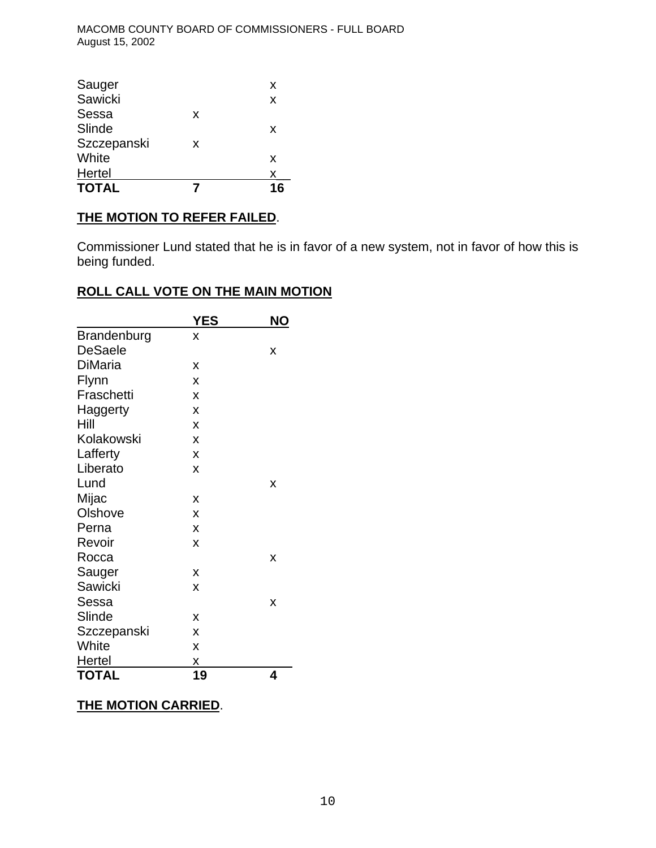MACOMB COUNTY BOARD OF COMMISSIONERS - FULL BOARD August 15, 2002

| X<br>X |
|--------|
|        |
|        |
|        |
| X      |
|        |
| X      |
| X      |
|        |

## **THE MOTION TO REFER FAILED**.

Commissioner Lund stated that he is in favor of a new system, not in favor of how this is being funded.

## **ROLL CALL VOTE ON THE MAIN MOTION**

|                    | <b>YES</b> | ΝO |
|--------------------|------------|----|
| <b>Brandenburg</b> | X          |    |
| <b>DeSaele</b>     |            | x  |
| <b>DiMaria</b>     | x          |    |
| Flynn              | X          |    |
| Fraschetti         | X          |    |
| Haggerty           | X          |    |
| Hill               | X          |    |
| Kolakowski         | X          |    |
| Lafferty           | X          |    |
| Liberato           | X          |    |
| Lund               |            | X  |
| Mijac              | X          |    |
| Olshove            | X          |    |
| Perna              | X          |    |
| Revoir             | X          |    |
| Rocca              |            | X  |
| Sauger             | X          |    |
| Sawicki            | X          |    |
| Sessa              |            | x  |
| Slinde             | X          |    |
| Szczepanski        | X          |    |
| White              | X          |    |
| <b>Hertel</b>      | Χ          |    |
| <b>TOTAL</b>       | 19         | 4  |

## **THE MOTION CARRIED**.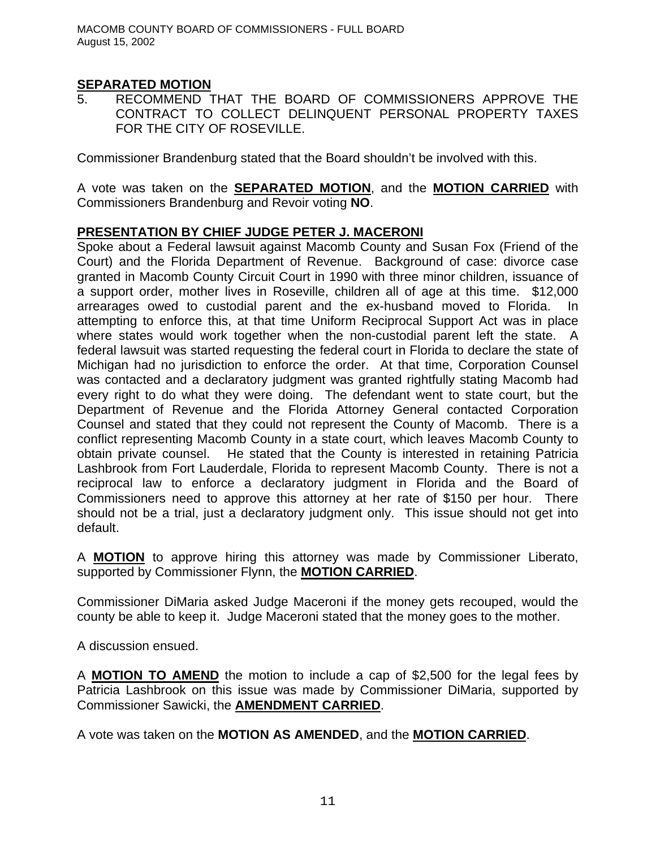## **SEPARATED MOTION**

5. RECOMMEND THAT THE BOARD OF COMMISSIONERS APPROVE THE CONTRACT TO COLLECT DELINQUENT PERSONAL PROPERTY TAXES FOR THE CITY OF ROSEVILLE.

Commissioner Brandenburg stated that the Board shouldn't be involved with this.

A vote was taken on the **SEPARATED MOTION**, and the **MOTION CARRIED** with Commissioners Brandenburg and Revoir voting **NO**.

## **PRESENTATION BY CHIEF JUDGE PETER J. MACERONI**

Spoke about a Federal lawsuit against Macomb County and Susan Fox (Friend of the Court) and the Florida Department of Revenue. Background of case: divorce case granted in Macomb County Circuit Court in 1990 with three minor children, issuance of a support order, mother lives in Roseville, children all of age at this time. \$12,000 arrearages owed to custodial parent and the ex-husband moved to Florida. In attempting to enforce this, at that time Uniform Reciprocal Support Act was in place where states would work together when the non-custodial parent left the state. A federal lawsuit was started requesting the federal court in Florida to declare the state of Michigan had no jurisdiction to enforce the order. At that time, Corporation Counsel was contacted and a declaratory judgment was granted rightfully stating Macomb had every right to do what they were doing. The defendant went to state court, but the Department of Revenue and the Florida Attorney General contacted Corporation Counsel and stated that they could not represent the County of Macomb. There is a conflict representing Macomb County in a state court, which leaves Macomb County to obtain private counsel. He stated that the County is interested in retaining Patricia Lashbrook from Fort Lauderdale, Florida to represent Macomb County. There is not a reciprocal law to enforce a declaratory judgment in Florida and the Board of Commissioners need to approve this attorney at her rate of \$150 per hour. There should not be a trial, just a declaratory judgment only. This issue should not get into default.

A **MOTION** to approve hiring this attorney was made by Commissioner Liberato, supported by Commissioner Flynn, the **MOTION CARRIED**.

Commissioner DiMaria asked Judge Maceroni if the money gets recouped, would the county be able to keep it. Judge Maceroni stated that the money goes to the mother.

A discussion ensued.

A **MOTION TO AMEND** the motion to include a cap of \$2,500 for the legal fees by Patricia Lashbrook on this issue was made by Commissioner DiMaria, supported by Commissioner Sawicki, the **AMENDMENT CARRIED**.

A vote was taken on the **MOTION AS AMENDED**, and the **MOTION CARRIED**.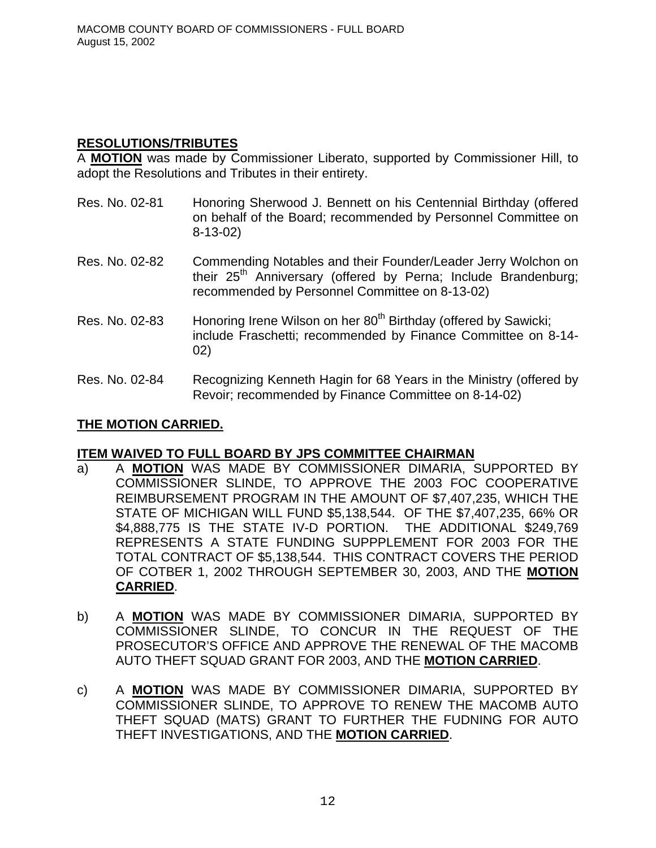## **RESOLUTIONS/TRIBUTES**

A **MOTION** was made by Commissioner Liberato, supported by Commissioner Hill, to adopt the Resolutions and Tributes in their entirety.

- Res. No. 02-81 Honoring Sherwood J. Bennett on his Centennial Birthday (offered on behalf of the Board; recommended by Personnel Committee on 8-13-02)
- Res. No. 02-82 Commending Notables and their Founder/Leader Jerry Wolchon on their  $25<sup>th</sup>$  Anniversary (offered by Perna; Include Brandenburg; recommended by Personnel Committee on 8-13-02)
- Res. No. 02-83 Honoring Irene Wilson on her 80<sup>th</sup> Birthday (offered by Sawicki; include Fraschetti; recommended by Finance Committee on 8-14- 02)
- Res. No. 02-84 Recognizing Kenneth Hagin for 68 Years in the Ministry (offered by Revoir; recommended by Finance Committee on 8-14-02)

## **THE MOTION CARRIED.**

## **ITEM WAIVED TO FULL BOARD BY JPS COMMITTEE CHAIRMAN**

- a) A **MOTION** WAS MADE BY COMMISSIONER DIMARIA, SUPPORTED BY COMMISSIONER SLINDE, TO APPROVE THE 2003 FOC COOPERATIVE REIMBURSEMENT PROGRAM IN THE AMOUNT OF \$7,407,235, WHICH THE STATE OF MICHIGAN WILL FUND \$5,138,544. OF THE \$7,407,235, 66% OR \$4,888,775 IS THE STATE IV-D PORTION. THE ADDITIONAL \$249,769 REPRESENTS A STATE FUNDING SUPPPLEMENT FOR 2003 FOR THE TOTAL CONTRACT OF \$5,138,544. THIS CONTRACT COVERS THE PERIOD OF COTBER 1, 2002 THROUGH SEPTEMBER 30, 2003, AND THE **MOTION CARRIED**.
- b) A **MOTION** WAS MADE BY COMMISSIONER DIMARIA, SUPPORTED BY COMMISSIONER SLINDE, TO CONCUR IN THE REQUEST OF THE PROSECUTOR'S OFFICE AND APPROVE THE RENEWAL OF THE MACOMB AUTO THEFT SQUAD GRANT FOR 2003, AND THE **MOTION CARRIED**.
- c) A **MOTION** WAS MADE BY COMMISSIONER DIMARIA, SUPPORTED BY COMMISSIONER SLINDE, TO APPROVE TO RENEW THE MACOMB AUTO THEFT SQUAD (MATS) GRANT TO FURTHER THE FUDNING FOR AUTO THEFT INVESTIGATIONS, AND THE **MOTION CARRIED**.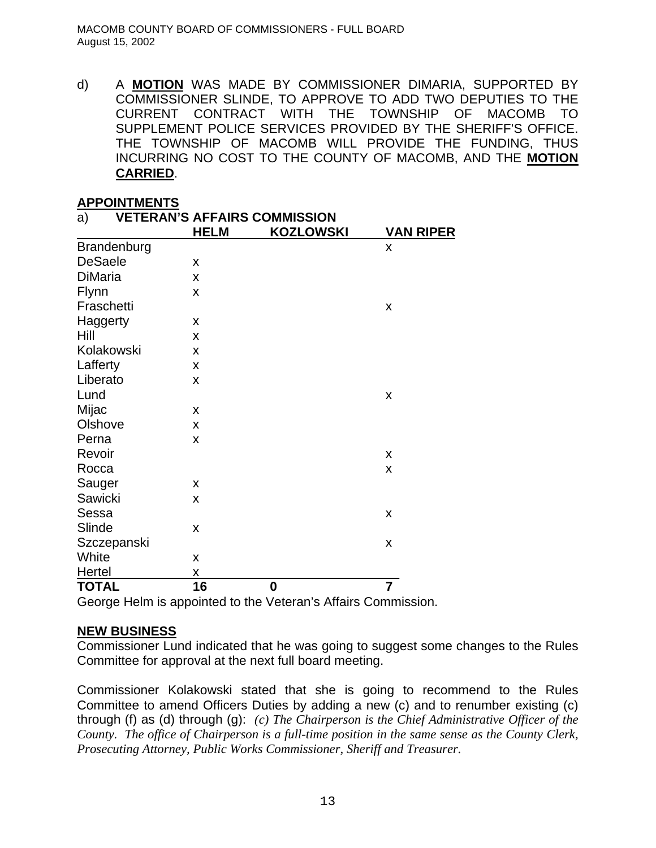d) A **MOTION** WAS MADE BY COMMISSIONER DIMARIA, SUPPORTED BY COMMISSIONER SLINDE, TO APPROVE TO ADD TWO DEPUTIES TO THE CURRENT CONTRACT WITH THE TOWNSHIP OF MACOMB TO SUPPLEMENT POLICE SERVICES PROVIDED BY THE SHERIFF'S OFFICE. THE TOWNSHIP OF MACOMB WILL PROVIDE THE FUNDING, THUS INCURRING NO COST TO THE COUNTY OF MACOMB, AND THE **MOTION CARRIED**.

## **APPOINTMENTS**

| <u>.</u><br><u> The Million 1</u><br>a) |             | <b>VETERAN'S AFFAIRS COMMISSION</b> |                  |
|-----------------------------------------|-------------|-------------------------------------|------------------|
|                                         | <b>HELM</b> | <b>KOZLOWSKI</b>                    | <b>VAN RIPER</b> |
| <b>Brandenburg</b>                      |             |                                     | X                |
| <b>DeSaele</b>                          | X           |                                     |                  |
| <b>DiMaria</b>                          | X           |                                     |                  |
| Flynn                                   | X           |                                     |                  |
| Fraschetti                              |             |                                     | X                |
| Haggerty                                | X           |                                     |                  |
| Hill                                    | X           |                                     |                  |
| Kolakowski                              | X           |                                     |                  |
| Lafferty                                | X           |                                     |                  |
| Liberato                                | X           |                                     |                  |
| Lund                                    |             |                                     | X                |
| Mijac                                   | X           |                                     |                  |
| Olshove                                 | X           |                                     |                  |
| Perna                                   | X           |                                     |                  |
| Revoir                                  |             |                                     | X                |
| Rocca                                   |             |                                     | X                |
| Sauger                                  | X           |                                     |                  |
| Sawicki                                 | X           |                                     |                  |
| Sessa                                   |             |                                     | X                |
| Slinde                                  | X           |                                     |                  |
| Szczepanski                             |             |                                     | X                |
| White                                   | X           |                                     |                  |
| <b>Hertel</b>                           | X           |                                     |                  |
| <b>TOTAL</b>                            | 16          | $\bf{0}$                            | $\overline{7}$   |

George Helm is appointed to the Veteran's Affairs Commission.

## **NEW BUSINESS**

Commissioner Lund indicated that he was going to suggest some changes to the Rules Committee for approval at the next full board meeting.

Commissioner Kolakowski stated that she is going to recommend to the Rules Committee to amend Officers Duties by adding a new (c) and to renumber existing (c) through (f) as (d) through (g): *(c) The Chairperson is the Chief Administrative Officer of the County. The office of Chairperson is a full-time position in the same sense as the County Clerk, Prosecuting Attorney, Public Works Commissioner, Sheriff and Treasurer.*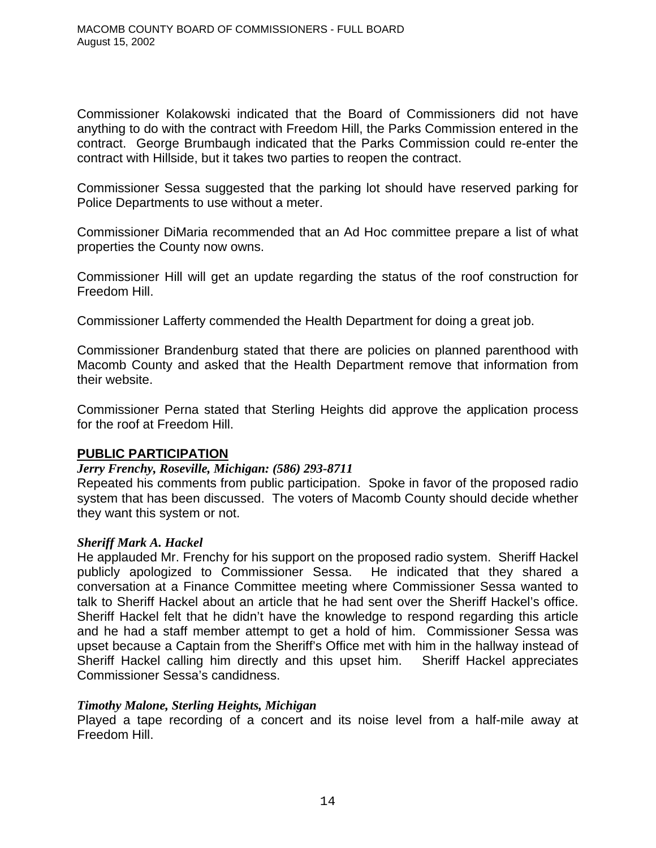Commissioner Kolakowski indicated that the Board of Commissioners did not have anything to do with the contract with Freedom Hill, the Parks Commission entered in the contract. George Brumbaugh indicated that the Parks Commission could re-enter the contract with Hillside, but it takes two parties to reopen the contract.

Commissioner Sessa suggested that the parking lot should have reserved parking for Police Departments to use without a meter.

Commissioner DiMaria recommended that an Ad Hoc committee prepare a list of what properties the County now owns.

Commissioner Hill will get an update regarding the status of the roof construction for Freedom Hill.

Commissioner Lafferty commended the Health Department for doing a great job.

Commissioner Brandenburg stated that there are policies on planned parenthood with Macomb County and asked that the Health Department remove that information from their website.

Commissioner Perna stated that Sterling Heights did approve the application process for the roof at Freedom Hill.

## **PUBLIC PARTICIPATION**

#### *Jerry Frenchy, Roseville, Michigan: (586) 293-8711*

Repeated his comments from public participation. Spoke in favor of the proposed radio system that has been discussed. The voters of Macomb County should decide whether they want this system or not.

#### *Sheriff Mark A. Hackel*

He applauded Mr. Frenchy for his support on the proposed radio system. Sheriff Hackel publicly apologized to Commissioner Sessa. He indicated that they shared a conversation at a Finance Committee meeting where Commissioner Sessa wanted to talk to Sheriff Hackel about an article that he had sent over the Sheriff Hackel's office. Sheriff Hackel felt that he didn't have the knowledge to respond regarding this article and he had a staff member attempt to get a hold of him. Commissioner Sessa was upset because a Captain from the Sheriff's Office met with him in the hallway instead of Sheriff Hackel calling him directly and this upset him. Sheriff Hackel appreciates Commissioner Sessa's candidness.

#### *Timothy Malone, Sterling Heights, Michigan*

Played a tape recording of a concert and its noise level from a half-mile away at Freedom Hill.